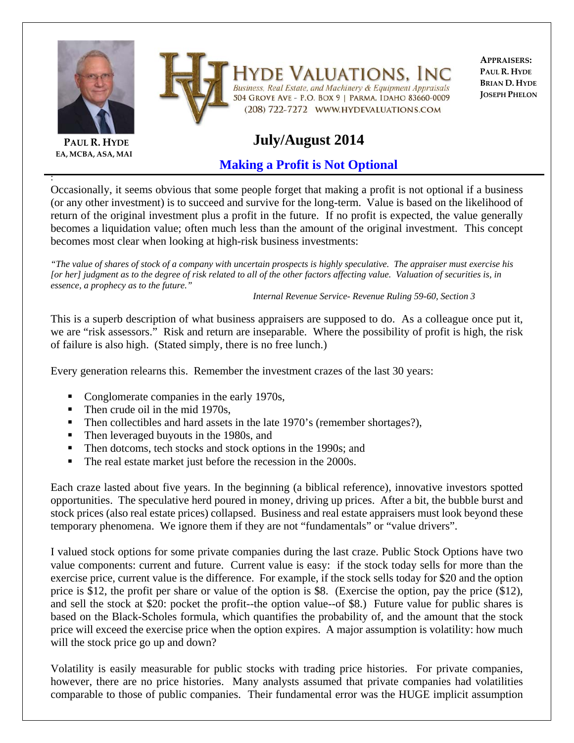

**EA, MCBA, ASA, MAI**

:



Iyde Valuations. Inc Business, Real Estate, and Machinery & Equipment Appraisals 504 GROVE AVE - P.O. BOX 9 | PARMA, IDAHO 83660-0009 (208) 722-7272 WWW.HYDEVALUATIONS.COM

**APPRAISERS: PAUL R. HYDE BRIAN D. HYDE JOSEPH PHELON**

## **July/August 2014**

## **Making a Profit is Not Optional**

Occasionally, it seems obvious that some people forget that making a profit is not optional if a business (or any other investment) is to succeed and survive for the long-term. Value is based on the likelihood of return of the original investment plus a profit in the future. If no profit is expected, the value generally becomes a liquidation value; often much less than the amount of the original investment. This concept becomes most clear when looking at high-risk business investments:

*"The value of shares of stock of a company with uncertain prospects is highly speculative. The appraiser must exercise his [or her] judgment as to the degree of risk related to all of the other factors affecting value. Valuation of securities is, in essence, a prophecy as to the future."* 

 *Internal Revenue Service- Revenue Ruling 59-60, Section 3*

This is a superb description of what business appraisers are supposed to do. As a colleague once put it, we are "risk assessors." Risk and return are inseparable. Where the possibility of profit is high, the risk of failure is also high. (Stated simply, there is no free lunch.)

Every generation relearns this. Remember the investment crazes of the last 30 years:

- Conglomerate companies in the early 1970s,
- Then crude oil in the mid 1970s,
- Then collectibles and hard assets in the late 1970's (remember shortages?),
- Then leveraged buyouts in the 1980s, and
- Then dotcoms, tech stocks and stock options in the 1990s; and
- The real estate market just before the recession in the 2000s.

Each craze lasted about five years. In the beginning (a biblical reference), innovative investors spotted opportunities. The speculative herd poured in money, driving up prices. After a bit, the bubble burst and stock prices (also real estate prices) collapsed. Business and real estate appraisers must look beyond these temporary phenomena. We ignore them if they are not "fundamentals" or "value drivers".

I valued stock options for some private companies during the last craze. Public Stock Options have two value components: current and future. Current value is easy: if the stock today sells for more than the exercise price, current value is the difference. For example, if the stock sells today for \$20 and the option price is \$12, the profit per share or value of the option is \$8. (Exercise the option, pay the price (\$12), and sell the stock at \$20: pocket the profit--the option value--of \$8.) Future value for public shares is based on the Black-Scholes formula, which quantifies the probability of, and the amount that the stock price will exceed the exercise price when the option expires. A major assumption is volatility: how much will the stock price go up and down?

Volatility is easily measurable for public stocks with trading price histories. For private companies, however, there are no price histories. Many analysts assumed that private companies had volatilities comparable to those of public companies. Their fundamental error was the HUGE implicit assumption